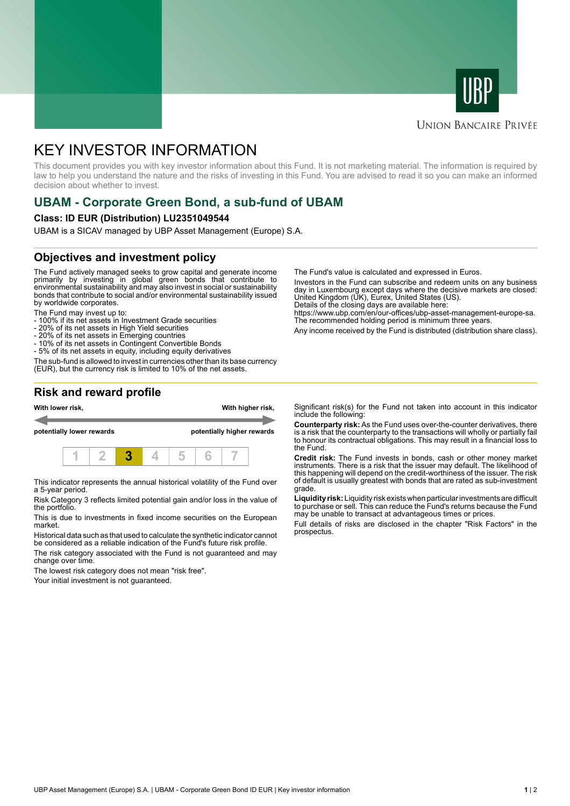



### **UNION BANCAIRE PRIVÉE**

# KEY INVESTOR INFORMATION

This document provides you with key investor information about this Fund. It is not marketing material. The information is required by law to help you understand the nature and the risks of investing in this Fund. You are advised to read it so you can make an informed decision about whether to invest.

# **UBAM - Corporate Green Bond, a sub-fund of UBAM**

### **Class: ID EUR (Distribution) LU2351049544**

UBAM is a SICAV managed by UBP Asset Management (Europe) S.A.

## **Objectives and investment policy**

The Fund actively managed seeks to grow capital and generate income primarily by investing in global green bonds that contribute to environmental sustainability and may also invest in social or sustainability bonds that contribute to social and/or environmental sustainability issued by worldwide corporates.

The Fund may invest up to:

- 100% if its net assets in Investment Grade securities
- 20% of its net assets in High Yield securities
- 20% of its net assets in Emerging countries
- 10% of its net assets in Contingent Convertible Bonds
- 5% of its net assets in equity, including equity derivatives

The sub-fund is allowed to invest in currencies other than its base currency (EUR), but the currency risk is limited to 10% of the net assets.

**Risk and reward profile**



This indicator represents the annual historical volatility of the Fund over a 5-year period.

Risk Category 3 reflects limited potential gain and/or loss in the value of the portfolio.

This is due to investments in fixed income securities on the European market.

Historical data such as that used to calculate the synthetic indicator cannot be considered as a reliable indication of the Fund's future risk profile.

The risk category associated with the Fund is not guaranteed and may change over time.

The lowest risk category does not mean "risk free".

Your initial investment is not guaranteed.

The Fund's value is calculated and expressed in Euros.

Investors in the Fund can subscribe and redeem units on any business day in Luxembourg except days where the decisive markets are closed: United Kingdom (UK), Eurex, United States (US).

Details of the closing days are available here:

https://www.ubp.com/en/our-offices/ubp-asset-management-europe-sa. The recommended holding period is minimum three years.

Any income received by the Fund is distributed (distribution share class).

Significant risk(s) for the Fund not taken into account in this indicator include the following:

**Counterparty risk:** As the Fund uses over-the-counter derivatives, there is a risk that the counterparty to the transactions will wholly or partially fail to honour its contractual obligations. This may result in a financial loss to the Fund.

**Credit risk:** The Fund invests in bonds, cash or other money market instruments. There is a risk that the issuer may default. The likelihood of this happening will depend on the credit-worthiness of the issuer. The risk of default is usually greatest with bonds that are rated as sub-investment grade.

**Liquidity risk:** Liquidity risk exists when particular investments are difficult to purchase or sell. This can reduce the Fund's returns because the Fund may be unable to transact at advantageous times or prices.

Full details of risks are disclosed in the chapter "Risk Factors" in the prospectus.